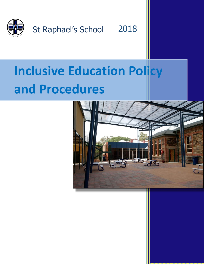

St Raphael's School

# 2018

# **Inclusive Education Policy and Procedures**

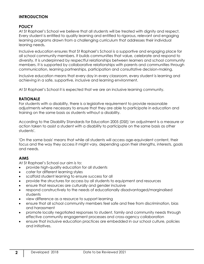# **INTRODUCTION**

# **POLICY**

At St Raphael's School we believe that all students will be treated with dignity and respect. Every student is entitled to quality learning and entitled to rigorous, relevant and engaging learning programs drawn from a challenging curriculum that addresses their individual leaning needs**.**

Inclusive education ensures that St Raphael's School is a supportive and engaging place for all school community members. It builds communities that value, celebrate and respond to diversity. It is underpinned by respectful relationships between learners and school community members. It is supported by collaborative relationships with parents and communities through communication, learning partnerships, participation and consultative decision-making.

Inclusive education means that every day in every classroom, every student is learning and achieving in a safe, supportive, inclusive and learning environment.

At St Raphael's School it is expected that we are an inclusive learning community.

#### **RATIONALE**

For students with a disability, there is a legislative requirement to provide [reasonable](http://www.australiancurriculum.edu.au/StudentDiversity/Students-with-disability)  [adjustments](http://www.australiancurriculum.edu.au/StudentDiversity/Students-with-disability) where necessary to ensure that they are able to participate in education and training on the same basis as students without a disability.

According to the Disability Standards for Education 2005 (DSE) 'an adjustment is a measure or action taken to assist a student with a disability to participate on the same basis as other students'.

'On the same basis' means that while all students will access age-equivalent content, their focus and the way they access it might vary, depending upon their strengths, interests, goals and needs.

# **AIMS**

At St Raphael's School our aim is to:

- provide high-quality education for all students
- cater for different learning styles
- scaffold student learning to ensure success for all
- provide the structures for access by all students to equipment and resources
- ensure that resources are culturally and gender inclusive
- respond constructively to the needs of educationally disadvantaged/marginalised students
- view difference as a resource to support learning
- ensure that all school community members feel safe and free from discrimination, bias and harassment
- promote locally negotiated responses to student, family and community needs through effective community engagement processes and cross-agency collaboration
- ensure that inclusive education practices are embedded in our school culture, policies and initiatives.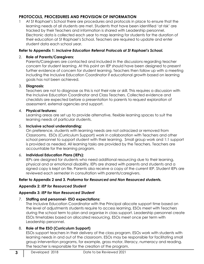# **PROTOCOLS, PROCEDURES AND PROVISION OF INFORMATION**

At St Raphael's School there are procedures and protocols in place to ensure that the learning needs of all students are met. Students that have been identified 'at risk' are tracked by their Teachers and information is shared with Leadership personnel. Electronic data is collected each year to map learning for students for the duration of their education at St Raphael's School. Teachers are required to update and enter student data each school year.

#### **Refer to Appendix 1:** *Inclusive Education Referral Protocols at St Raphael's School.*

#### 2. **Role of Parents/Caregivers:**

Parents/Caregivers are contacted and included in the discussions regarding teacher concern for student learning. At this point an IEP should have been designed to present further evidence of concern for student learning. Teachers then follow up with a meeting including the Inclusive Education Coordinator if educational growth based on learning goals has not been achieved.

#### 3. **Diagnosis:**

Teachers are not to diagnose as this is not their role or skill. This requires a discussion with the Inclusive Education Coordinator and Class Teachers. Collected evidence and checklists are expected before a presentation to parents to request exploration of assessment, external agencies and support.

#### 4. **Physical features:**

Learning areas are set up to provide alternative, flexible learning spaces to suit the learning needs of particular students.

#### 5. **Inclusive school understanding:**

On preference, students with learning needs are not ostracized or removed from Classrooms. ESOs (Curriculum Support) work in collaboration with Teachers and other school personnel to support student with their learning. Small group work and 1:1 support is provided as needed. All learning tasks are provided by the Teachers. Teachers are accountable for the learning program.

# 6. **Individual Education Plans (IEPs):**

IEPs are designed for students who need additional resourcing due to their learning, physical and or emotional disability. IEPs are shared with parents and students and a signed copy is kept on file. Parents also receive a copy of the current IEP. Student IEPs are reviewed each semester in consultation with parents/caregivers.

# **Refer to Appendix 2 and 3.** *Proforma for Resourced and Non Resourced students.*

# **Appendix 2:** *IEP for Resourced Student*

# **Appendix 3:** *IEP for Non Resourced Student*

#### 7. **Staffing and personnel- ESO expectations:**

The Inclusive Education Coordinator with the Principal allocate support time based on the level of adjustments students require to access learning. ESOs meet with Teachers during the school term to plan and organise in class support. Leadership personnel create ESOs timetables based on allocated resourcing. ESOs meet once per term with Leadership personnel.

# 8. **Role of the ESO (Curriculum Support)**

ESOs support teachers in their delivery of the class program. ESOs work with students with learning needs in and out of the classroom. ESOs may be responsible for facilitating small group intervention programs, for example, gross motor, literacy, numeracy and reading. The teacher is responsible for the creation of the program.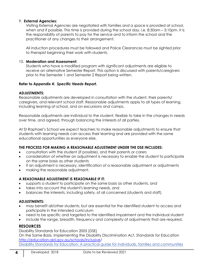#### 9. **External Agencies:**

Visiting External Agencies are negotiated with families and a space is provided at school, when and if possible. This time is provided during the school day, i.e. 8:30am - 3:10pm. It is the responsibility of parents to pay for the service and to inform the school and the practitioner of any changes to their arrangement.

All induction procedures must be followed and Police Clearances must be sighted prior to therapist beginning their work with students.

#### 10. **Moderation and Assessment:**

Students who have a modified program with significant adjustments are eligible to receive an alternative Semester Report. This option is discussed with parents/caregivers prior to the Semester 1 and Semester 2 Report being written.

#### **Refer to Appendix 4:** *Specific Needs Report.*

#### **ADJUSTMENTS:**

Reasonable adjustments are developed in consultation with the student, their parents/ caregivers, and relevant school staff. Reasonable adjustments apply to all types of learning, including learning at school, and on excursions and camps.

Reasonable adjustments are individual to the student, flexible to take in the changes in needs over time, and agreed, through balancing the interests of all parties.

At St Raphael's School we expect teachers to make reasonable adjustments to ensure that students with learning needs can access their learning and are provided with the same educational opportunities as everyone else.

# **THE PROCESS FOR MAKING A REASONABLE ADJUSTMENT UNDER THE DSE INCLUDES:**

- consultation with the student (if possible), and their parents or carers
- consideration of whether an adjustment is necessary to enable the student to participate on the same basis as other students
- if an adjustment is necessary, identification of a reasonable adjustment or adjustments
- making the reasonable adjustment.

# **A REASONABLE ADJUSTMENT IS REASONABLE IF IT:**

- supports a student to participate on the same basis as other students, and
- takes into account the student's learning needs, and
- balances the interests, including safety, of all concerned (students and staff).

#### **ADJUSTMENTS:**

- may benefit all/other students, but are essential for the identified student to access and participate in the intended curriculum
- need to be specific and targeted to the identified impairment and the individual student
- include the range, breadth, frequency and complexity of adjustments that are required.

# **RESOURCES**

# Disability Standards for Education 2005 (DSE)

On the Same Basis, Implementing the Disability Discrimination Act, Standards for Education [http://education.qld.gov.au/schools/inclusive/](http://education.qld.gov.au/schools/inclusive)

[Disability Standards for Education: A practical guide for individuals, families and communities](http://resource.dse.theeducationinstitute.edu.au/)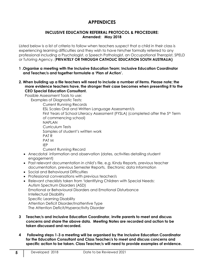# **APPENDICES**

#### **INCLUSIVE EDUCATION REFERRAL PROTOCOL & PROCEDURE: Amended: May 2018**

Listed below is a list of criteria to follow when teachers suspect that a child in their class is experiencing learning difficulties and they wish to have him/her formally referred to any professional including a Psychologist, a Speech Pathologist, an Occupational Therapist, SPELD or Tutoring Agency. (**PRIVATELY OR THROUGH CATHOLIC EDUCATION SOUTH AUSTRALIA)**

- **1 .Organise a meeting with the Inclusive Education Team; Inclusive Education Coordinator and Teacher/s and together formulate a 'Plan of Action'.**
- **2. When building up a file teachers will need to include a number of items. Please note; the more evidence teachers have, the stronger their case becomes when presenting it to the CEO Special Education Consultant.**

Possible Assessment Tools to use:

Examples of Diagnostic Tests:

Current Running Records ESL Scales Oral and Written Language Assessment/s First Years of School Literacy Assessment (FYSLA) (completed after the 5<sup>th</sup> Term of commencing school) **NAPI AN** Curriculum Tests Samples of student's written work PAT R PAT M IEP Current Running Record

- Anecdotal information and observation (dates, activities detailing student engagement)
- Past relevant documentation in child's file, e.g. Kindy Reports, previous teacher documentation, previous Semester Reports, Electronic data Information
- Social and Behavioural Difficulties
- Professional conversations with previous teacher/s
- Relevant checklists taken from 'Identifying Children with Special Needs: Autism Spectrum Disorders (ASD) Emotional or Behavioural Disorders and Emotional Disturbance Intellectual Disability Specific Learning Disability Attention Deficit Disorder/Inattentive Type The Attention Deficit/Hyperactivity Disorder
- **3 Teacher/s and Inclusive Education Coordinator, invite parents to meet and discuss concerns and share the above data. Meeting Notes are recorded and action to be taken discussed and recorded.**
- **4 Following steps 1-3 a meeting will be organised by the Inclusive Education Coordinator for the Education Consultant and Class Teacher/s to meet and discuss concerns and specific action to be taken. Class Teacher/s will need to provide examples of evidence.**